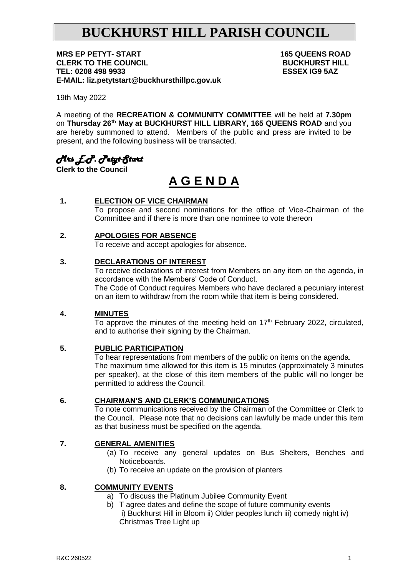# **BUCKHURST HILL PARISH COUNCIL**

**MRS EP PETYT- START 165 QUEENS ROAD CLERK TO THE COUNCIL CLERK TO THE COUNCIL**<br>TEL: 0208 498 9933 TEL: 0208 498 9933 **E-MAIL: liz.petytstart@buckhursthillpc.gov.uk**

19th May 2022

A meeting of the **RECREATION & COMMUNITY COMMITTEE** will be held at **7.30pm**  on **Thursday 26 th May at BUCKHURST HILL LIBRARY, 165 QUEENS ROAD** and you are hereby summoned to attend. Members of the public and press are invited to be present, and the following business will be transacted.

## *Mrs E.P. Petyt-Start*

**Clerk to the Council**

# **A G E N D A**

### **1. ELECTION OF VICE CHAIRMAN**

To propose and second nominations for the office of Vice-Chairman of the Committee and if there is more than one nominee to vote thereon

#### **2. APOLOGIES FOR ABSENCE**

To receive and accept apologies for absence.

#### **3. DECLARATIONS OF INTEREST**

To receive declarations of interest from Members on any item on the agenda, in accordance with the Members' Code of Conduct. The Code of Conduct requires Members who have declared a pecuniary interest on an item to withdraw from the room while that item is being considered.

#### **4. MINUTES**

To approve the minutes of the meeting held on  $17<sup>th</sup>$  February 2022, circulated, and to authorise their signing by the Chairman.

#### **5. PUBLIC PARTICIPATION**

To hear representations from members of the public on items on the agenda. The maximum time allowed for this item is 15 minutes (approximately 3 minutes per speaker), at the close of this item members of the public will no longer be permitted to address the Council.

#### **6. CHAIRMAN'S AND CLERK'S COMMUNICATIONS**

To note communications received by the Chairman of the Committee or Clerk to the Council. Please note that no decisions can lawfully be made under this item as that business must be specified on the agenda.

#### **7. GENERAL AMENITIES**

- (a) To receive any general updates on Bus Shelters, Benches and Noticeboards.
- (b) To receive an update on the provision of planters

#### **8. COMMUNITY EVENTS**

- a) To discuss the Platinum Jubilee Community Event
- b) T agree dates and define the scope of future community events i) Buckhurst Hill in Bloom ii) Older peoples lunch iii) comedy night iv) Christmas Tree Light up